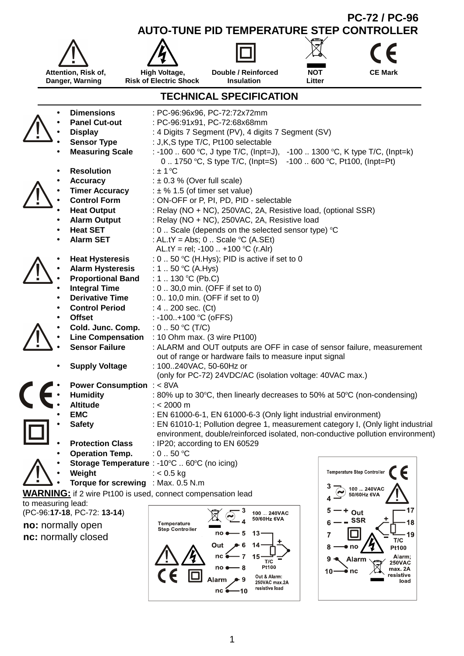

1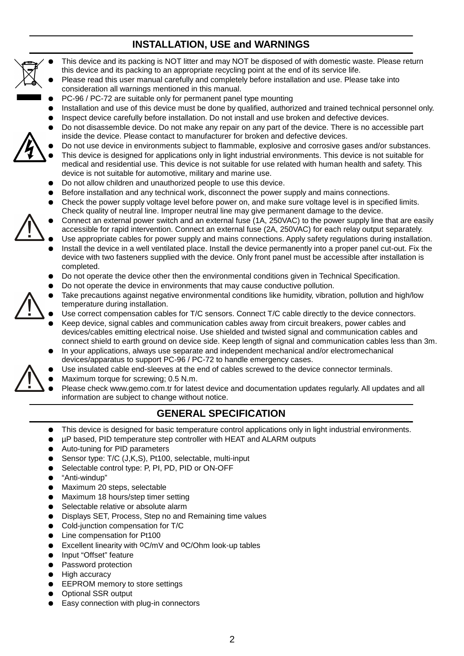# **INSTALLATION, USE and WARNINGS**



- This device and its packing is NOT litter and may NOT be disposed of with domestic waste. Please return this device and its packing to an appropriate recycling point at the end of its service life.
- Please read this user manual carefully and completely before installation and use. Please take into consideration all warnings mentioned in this manual.
- PC-96 / PC-72 are suitable only for permanent panel type mounting
- Installation and use of this device must be done by qualified, authorized and trained technical personnel only.
- Inspect device carefully before installation. Do not install and use broken and defective devices.
- Do not disassemble device. Do not make any repair on any part of the device. There is no accessible part inside the device. Please contact to manufacturer for broken and defective devices.
- Do not use device in environments subject to flammable, explosive and corrosive gases and/or substances. This device is designed for applications only in light industrial environments. This device is not suitable for medical and residential use. This device is not suitable for use related with human health and safety. This device is not suitable for automotive, military and marine use.
- Do not allow children and unauthorized people to use this device.
- Before installation and any technical work, disconnect the power supply and mains connections.
- Check the power supply voltage level before power on, and make sure voltage level is in specified limits. Check quality of neutral line. Improper neutral line may give permanent damage to the device.
- Connect an external power switch and an external fuse (1A, 250VAC) to the power supply line that are easily accessible for rapid intervention. Connect an external fuse (2A, 250VAC) for each relay output separately.
- Use appropriate cables for power supply and mains connections. Apply safety regulations during installation.
- Install the device in a well ventilated place. Install the device permanently into a proper panel cut-out. Fix the device with two fasteners supplied with the device. Only front panel must be accessible after installation is completed.
- Do not operate the device other then the environmental conditions given in Technical Specification.
- Do not operate the device in environments that may cause conductive pollution.
- Take precautions against negative environmental conditions like humidity, vibration, pollution and high/low temperature during installation.
	- Use correct compensation cables for T/C sensors. Connect T/C cable directly to the device connectors.
	- Keep device, signal cables and communication cables away from circuit breakers, power cables and devices/cables emitting electrical noise. Use shielded and twisted signal and communication cables and connect shield to earth ground on device side. Keep length of signal and communication cables less than 3m.
	- In your applications, always use separate and independent mechanical and/or electromechanical devices/apparatus to support PC-96 / PC-72 to handle emergency cases.
	- Use insulated cable end-sleeves at the end of cables screwed to the device connector terminals.
	- Maximum torque for screwing; 0.5 N.m.
	- Please check www.gemo.com.tr for latest device and documentation updates regularly. All updates and all information are subject to change without notice.

### **GENERAL SPECIFICATION**

- This device is designed for basic temperature control applications only in light industrial environments.
- µP based, PID temperature step controller with HEAT and ALARM outputs
- Auto-tuning for PID parameters
- Sensor type: T/C (J,K,S), Pt100, selectable, multi-input
- Selectable control type: P, PI, PD, PID or ON-OFF
- "Anti-windup"
- Maximum 20 steps, selectable
- Maximum 18 hours/step timer setting
- Selectable relative or absolute alarm
- Displays SET, Process, Step no and Remaining time values
- Cold-junction compensation for T/C
- Line compensation for Pt100
- Excellent linearity with <sup>o</sup>C/mV and <sup>o</sup>C/Ohm look-up tables
- Input "Offset" feature
- Password protection
- **High accuracy**
- EEPROM memory to store settings
- Optional SSR output
- Easy connection with plug-in connectors

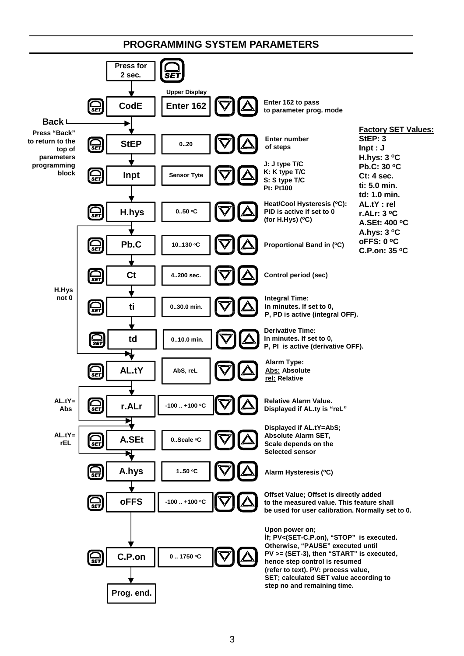#### **PROGRAMMING SYSTEM PARAMETERS**

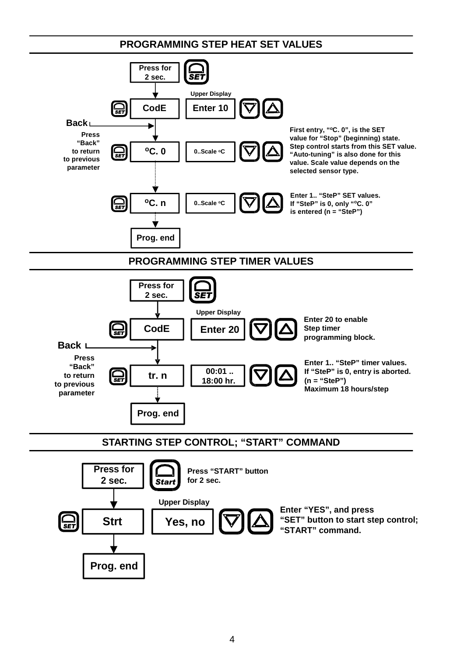**PROGRAMMING STEP HEAT SET VALUES**

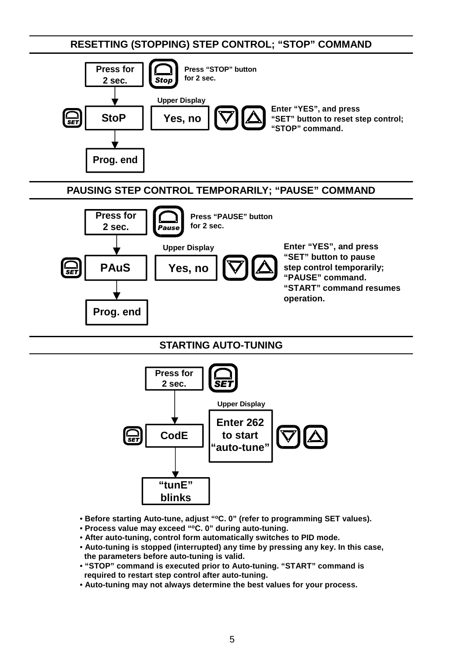**RESETTING (STOPPING) STEP CONTROL; "STOP" COMMAND**



### **PAUSING STEP CONTROL TEMPORARILY; "PAUSE" COMMAND**



### **STARTING AUTO-TUNING**



- **Before starting Auto-tune, adjust "<sup>o</sup>C. 0" (refer to programming SET values).**
- **Process value may exceed "<sup>o</sup>C. 0" during auto-tuning.**
- **After auto-tuning, control form automatically switches to PID mode.**
- **Auto-tuning is stopped (interrupted) any time by pressing any key. In this case, the parameters before auto-tuning is valid.**
- **"STOP" command is executed prior to Auto-tuning. "START" command is required to restart step control after auto-tuning.**
- **Auto-tuning may not always determine the best values for your process.**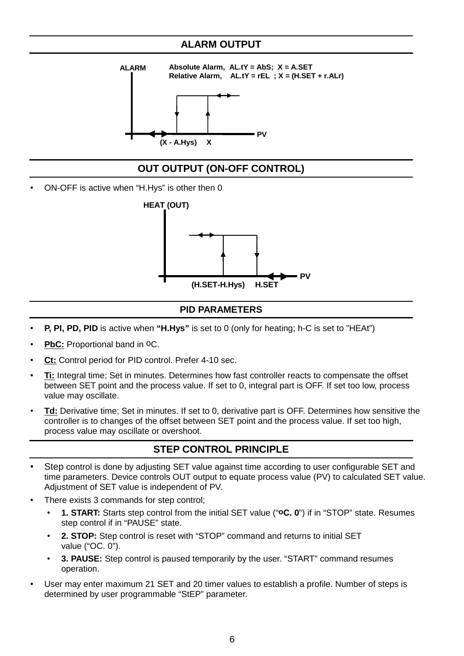### **ALARM OUTPUT**



## **OUT OUTPUT (ON-OFF CONTROL)**

• ON-OFF is active when "H.Hys" is other then 0



### **PID PARAMETERS**

- **P, PI, PD, PID** is active when **"H.Hys"** is set to 0 (only for heating; h-C is set to "HEAt")
- **PbC:** Proportional band in <sup>O</sup>C.
- **Ct:** Control period for PID control. Prefer 4-10 sec.
- **Ti:** Integral time; Set in minutes. Determines how fast controller reacts to compensate the offset between SET point and the process value. If set to 0, integral part is OFF. If set too low, process value may oscillate.
- **Td:** Derivative time; Set in minutes. If set to 0, derivative part is OFF. Determines how sensitive the controller is to changes of the offset between SET point and the process value. If set too high, process value may oscillate or overshoot.

## **STEP CONTROL PRINCIPLE**

- Step control is done by adjusting SET value against time according to user configurable SET and time parameters. Device controls OUT output to equate process value (PV) to calculated SET value. Adjustment of SET value is independent of PV.
- There exists 3 commands for step control;
	- **1. START:** Starts step control from the initial SET value ("**oC. 0**") if in "STOP" state. Resumes step control if in "PAUSE" state.
	- **2. STOP:** Step control is reset with "STOP" command and returns to initial SET value ("OC. 0").
	- **3. PAUSE:** Step control is paused temporarily by the user. "START" command resumes operation.
- User may enter maximum 21 SET and 20 timer values to establish a profile. Number of steps is determined by user programmable "StEP" parameter.